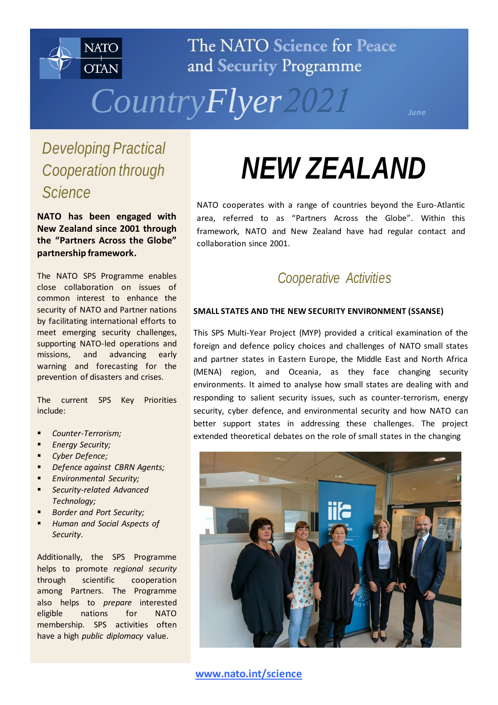

The NATO Science for Peace and Security Programme



*Developing Practical Cooperation through Science*

**NATO has been engaged with New Zealand since 2001 through the "Partners Across the Globe" partnership framework.**

The NATO SPS Programme enables close collaboration on issues of common interest to enhance the security of NATO and Partner nations by facilitating international efforts to meet emerging security challenges, supporting NATO-led operations and missions, and advancing early warning and forecasting for the prevention of disasters and crises.

The current SPS Key Priorities include:

- *Counter-Terrorism;*
- *Energy Security;*
- *Cyber Defence;*
- *Defence against CBRN Agents;*
- *Environmental Security;*
- *Security-related Advanced Technology;*
- *Border and Port Security;*
- *Human and Social Aspects of Security*.

Additionally, the SPS Programme helps to promote *regional security* through scientific cooperation among Partners. The Programme also helps to *prepare* interested eligible nations for NATO membership. SPS activities often have a high *public diplomacy* value.

# *NEW ZEALAND*

NATO cooperates with a range of countries beyond the Euro-Atlantic area, referred to as "Partners Across the Globe". Within this framework, NATO and New Zealand have had regular contact and collaboration since 2001.

## *Cooperative Activities*

#### **SMALL STATES AND THE NEW SECURITY ENVIRONMENT (SSANSE)**

This SPS Multi-Year Project (MYP) provided a critical examination of the foreign and defence policy choices and challenges of NATO small states and partner states in Eastern Europe, the Middle East and North Africa (MENA) region, and Oceania, as they face changing security environments. It aimed to analyse how small states are dealing with and responding to salient security issues, such as counter-terrorism, energy security, cyber defence, and environmental security and how NATO can better support states in addressing these challenges. The project extended theoretical debates on the role of small states in the changing